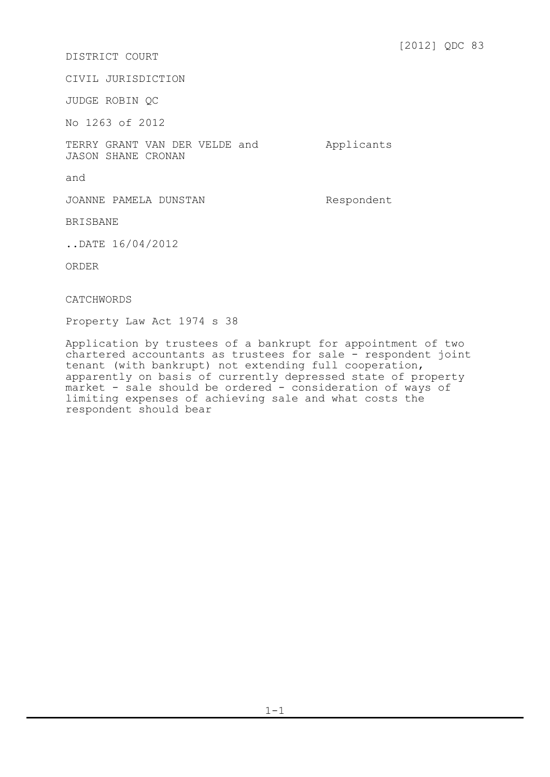## DISTRICT COURT

CIVIL JURISDICTION

JUDGE ROBIN QC

No 1263 of 2012

TERRY GRANT VAN DER VELDE and JASON SHANE CRONAN

Applicants

and

JOANNE PAMELA DUNSTAN Respondent

BRISBANE

..DATE 16/04/2012

ORDER

CATCHWORDS

Property Law Act 1974 s 38

Application by trustees of a bankrupt for appointment of two chartered accountants as trustees for sale - respondent joint tenant (with bankrupt) not extending full cooperation, apparently on basis of currently depressed state of property market - sale should be ordered - consideration of ways of limiting expenses of achieving sale and what costs the respondent should bear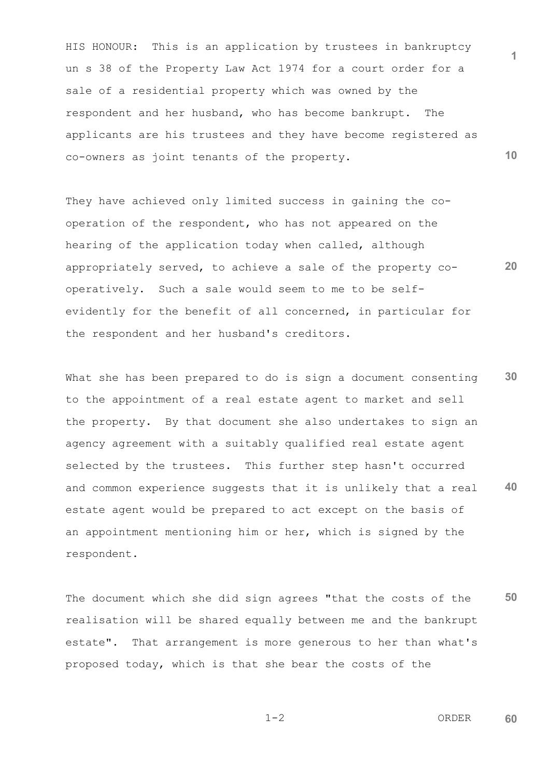**10** HIS HONOUR: This is an application by trustees in bankruptcy un s 38 of the Property Law Act 1974 for a court order for a sale of a residential property which was owned by the respondent and her husband, who has become bankrupt. The applicants are his trustees and they have become registered as co-owners as joint tenants of the property.

**20** They have achieved only limited success in gaining the cooperation of the respondent, who has not appeared on the hearing of the application today when called, although appropriately served, to achieve a sale of the property cooperatively. Such a sale would seem to me to be selfevidently for the benefit of all concerned, in particular for the respondent and her husband's creditors.

**30 40** What she has been prepared to do is sign a document consenting to the appointment of a real estate agent to market and sell the property. By that document she also undertakes to sign an agency agreement with a suitably qualified real estate agent selected by the trustees. This further step hasn't occurred and common experience suggests that it is unlikely that a real estate agent would be prepared to act except on the basis of an appointment mentioning him or her, which is signed by the respondent.

**50** The document which she did sign agrees "that the costs of the realisation will be shared equally between me and the bankrupt estate". That arrangement is more generous to her than what's proposed today, which is that she bear the costs of the

 $1-2$  ORDER **60**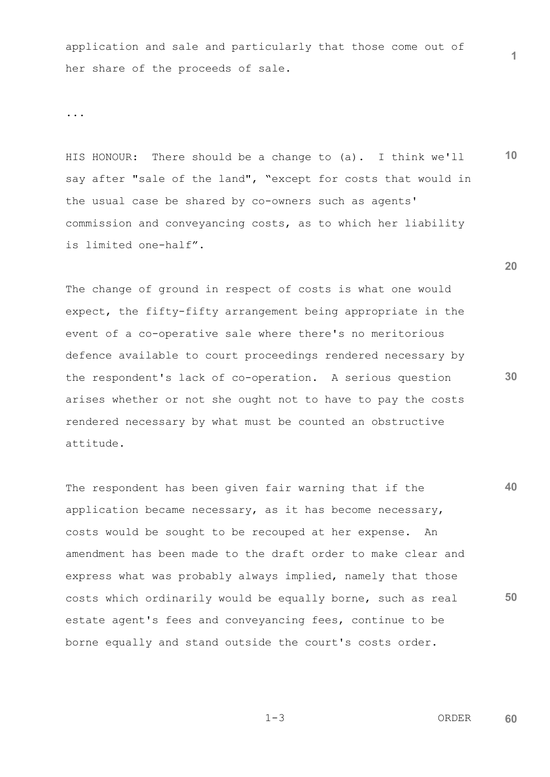application and sale and particularly that those come out of her share of the proceeds of sale.

...

**10** HIS HONOUR: There should be a change to (a). I think we'll say after "sale of the land", "except for costs that would in the usual case be shared by co-owners such as agents' commission and conveyancing costs, as to which her liability is limited one-half".

The change of ground in respect of costs is what one would expect, the fifty-fifty arrangement being appropriate in the event of a co-operative sale where there's no meritorious defence available to court proceedings rendered necessary by the respondent's lack of co-operation. A serious question arises whether or not she ought not to have to pay the costs rendered necessary by what must be counted an obstructive attitude.

**40 50** The respondent has been given fair warning that if the application became necessary, as it has become necessary, costs would be sought to be recouped at her expense. An amendment has been made to the draft order to make clear and express what was probably always implied, namely that those costs which ordinarily would be equally borne, such as real estate agent's fees and conveyancing fees, continue to be borne equally and stand outside the court's costs order.

**20**

**1**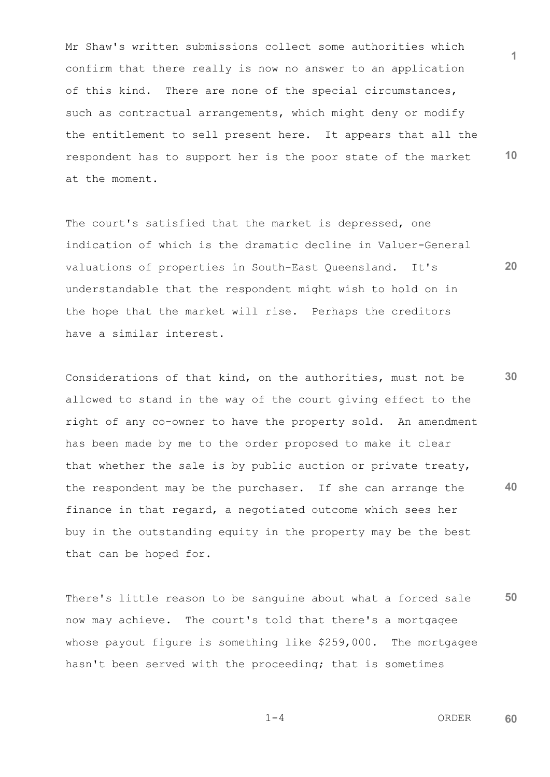**1 10** Mr Shaw's written submissions collect some authorities which confirm that there really is now no answer to an application of this kind. There are none of the special circumstances, such as contractual arrangements, which might deny or modify the entitlement to sell present here. It appears that all the respondent has to support her is the poor state of the market at the moment.

The court's satisfied that the market is depressed, one indication of which is the dramatic decline in Valuer-General valuations of properties in South-East Queensland. It's understandable that the respondent might wish to hold on in the hope that the market will rise. Perhaps the creditors have a similar interest.

**30 40** Considerations of that kind, on the authorities, must not be allowed to stand in the way of the court giving effect to the right of any co-owner to have the property sold. An amendment has been made by me to the order proposed to make it clear that whether the sale is by public auction or private treaty, the respondent may be the purchaser. If she can arrange the finance in that regard, a negotiated outcome which sees her buy in the outstanding equity in the property may be the best that can be hoped for.

**50** There's little reason to be sanguine about what a forced sale now may achieve. The court's told that there's a mortgagee whose payout figure is something like \$259,000. The mortgagee hasn't been served with the proceeding; that is sometimes

 $1-4$  ORDER **60**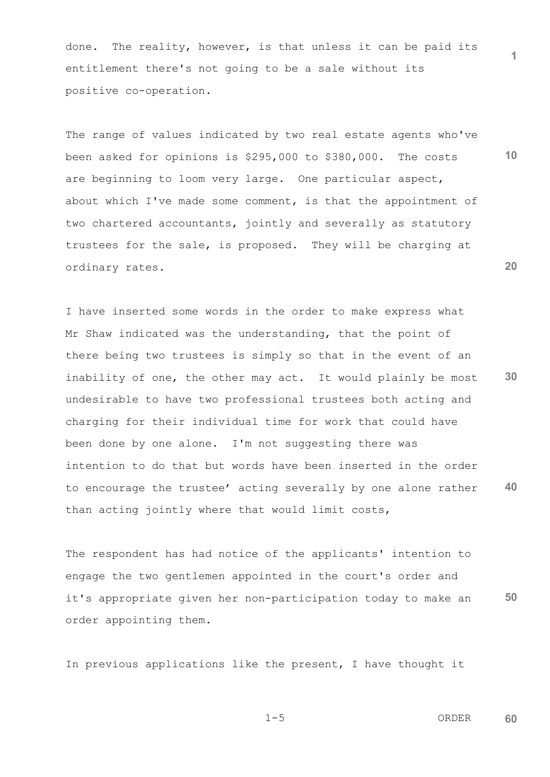done. The reality, however, is that unless it can be paid its entitlement there's not going to be a sale without its positive co-operation.

The range of values indicated by two real estate agents who've been asked for opinions is \$295,000 to \$380,000. The costs are beginning to loom very large. One particular aspect, about which I've made some comment, is that the appointment of two chartered accountants, jointly and severally as statutory trustees for the sale, is proposed. They will be charging at ordinary rates.

**30 40** I have inserted some words in the order to make express what Mr Shaw indicated was the understanding, that the point of there being two trustees is simply so that in the event of an inability of one, the other may act. It would plainly be most undesirable to have two professional trustees both acting and charging for their individual time for work that could have been done by one alone. I'm not suggesting there was intention to do that but words have been inserted in the order to encourage the trustee' acting severally by one alone rather than acting jointly where that would limit costs,

**50** The respondent has had notice of the applicants' intention to engage the two gentlemen appointed in the court's order and it's appropriate given her non-participation today to make an order appointing them.

In previous applications like the present, I have thought it

$$
1-5
$$
 **ORDER**

**60**

**1**

**10**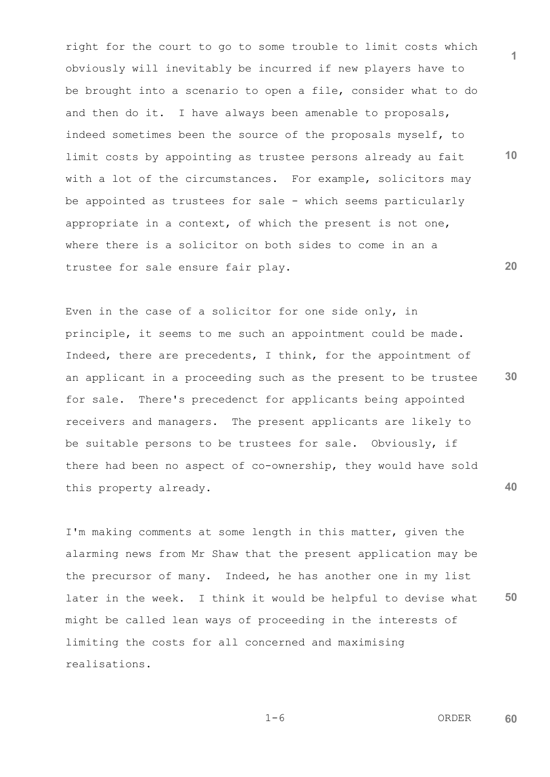right for the court to go to some trouble to limit costs which obviously will inevitably be incurred if new players have to be brought into a scenario to open a file, consider what to do and then do it. I have always been amenable to proposals, indeed sometimes been the source of the proposals myself, to limit costs by appointing as trustee persons already au fait with a lot of the circumstances. For example, solicitors may be appointed as trustees for sale - which seems particularly appropriate in a context, of which the present is not one, where there is a solicitor on both sides to come in an a trustee for sale ensure fair play.

**30 40** Even in the case of a solicitor for one side only, in principle, it seems to me such an appointment could be made. Indeed, there are precedents, I think, for the appointment of an applicant in a proceeding such as the present to be trustee for sale. There's precedenct for applicants being appointed receivers and managers. The present applicants are likely to be suitable persons to be trustees for sale. Obviously, if there had been no aspect of co-ownership, they would have sold this property already.

**50** I'm making comments at some length in this matter, given the alarming news from Mr Shaw that the present application may be the precursor of many. Indeed, he has another one in my list later in the week. I think it would be helpful to devise what might be called lean ways of proceeding in the interests of limiting the costs for all concerned and maximising realisations.

 $1-6$  ORDER **60**

$$
1-6
$$

**1**

**20**